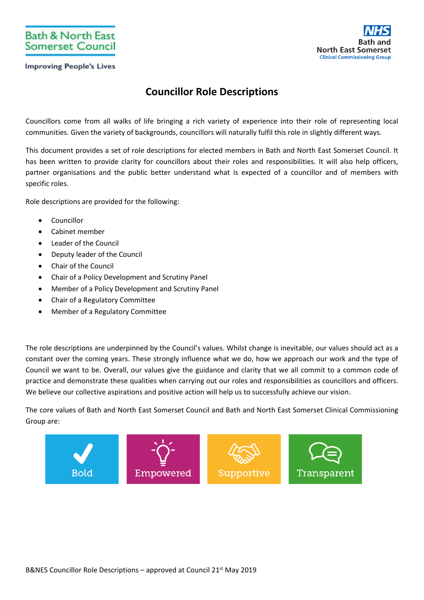

#### **Improving People's Lives**



# **Councillor Role Descriptions**

Councillors come from all walks of life bringing a rich variety of experience into their role of representing local communities. Given the variety of backgrounds, councillors will naturally fulfil this role in slightly different ways.

This document provides a set of role descriptions for elected members in Bath and North East Somerset Council. It has been written to provide clarity for councillors about their roles and responsibilities. It will also help officers, partner organisations and the public better understand what is expected of a councillor and of members with specific roles.

Role descriptions are provided for the following:

- Councillor
- Cabinet member
- Leader of the Council
- Deputy leader of the Council
- Chair of the Council
- Chair of a Policy Development and Scrutiny Panel
- Member of a Policy Development and Scrutiny Panel
- Chair of a Regulatory Committee
- Member of a Regulatory Committee

The role descriptions are underpinned by the Council's values. Whilst change is inevitable, our values should act as a constant over the coming years. These strongly influence what we do, how we approach our work and the type of Council we want to be. Overall, our values give the guidance and clarity that we all commit to a common code of practice and demonstrate these qualities when carrying out our roles and responsibilities as councillors and officers. We believe our collective aspirations and positive action will help us to successfully achieve our vision.

The core values of Bath and North East Somerset Council and Bath and North East Somerset Clinical Commissioning Group are:

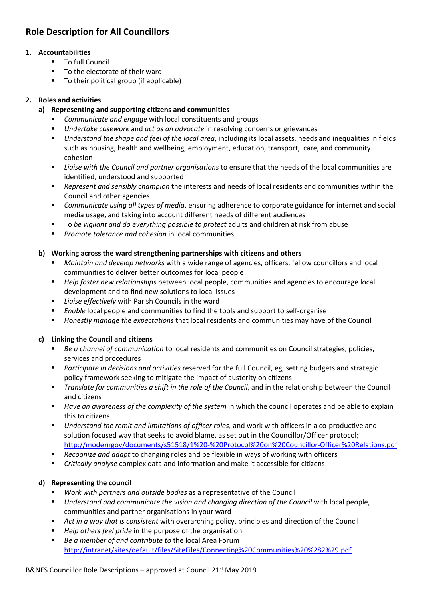## **Role Description for All Councillors**

## **1. Accountabilities**

- **To full Council**
- To the electorate of their ward
- To their political group (if applicable)

## **2. Roles and activities**

## **a) Representing and supporting citizens and communities**

- *Communicate and engage* with local constituents and groups
- *Undertake casework* and *act as an advocate* in resolving concerns or grievances
- *Understand the shape and feel of the local area*, including its local assets, needs and inequalities in fields such as housing, health and wellbeing, employment, education, transport, care, and community cohesion
- *Liaise with the Council and partner organisations* to ensure that the needs of the local communities are identified, understood and supported
- *Represent and sensibly champion* the interests and needs of local residents and communities within the Council and other agencies
- *Communicate using all types of media*, ensuring adherence to corporate guidance for internet and social media usage, and taking into account different needs of different audiences
- To *be vigilant and do everything possible to protect* adults and children at risk from abuse
- *Promote tolerance and cohesion* in local communities

### **b) Working across the ward strengthening partnerships with citizens and others**

- *Maintain and develop networks* with a wide range of agencies, officers, fellow councillors and local communities to deliver better outcomes for local people
- *Help foster new relationships* between local people, communities and agencies to encourage local development and to find new solutions to local issues
- *Liaise effectively* with Parish Councils in the ward
- *Enable* local people and communities to find the tools and support to self-organise
- *Honestly manage the expectations* that local residents and communities may have of the Council

## **c) Linking the Council and citizens**

- *Be a channel of communication* to local residents and communities on Council strategies, policies, services and procedures
- *Participate in decisions and activities* reserved for the full Council, eg, setting budgets and strategic policy framework seeking to mitigate the impact of austerity on citizens
- *Translate for communities a shift in the role of the Council*, and in the relationship between the Council and citizens
- *Have an awareness of the complexity of the system* in which the council operates and be able to explain this to citizens
- *Understand the remit and limitations of officer roles*, and work with officers in a co-productive and solution focused way that seeks to avoid blame, as set out in the Councillor/Officer protocol; <http://moderngov/documents/s51518/1%20-%20Protocol%20on%20Councillor-Officer%20Relations.pdf>
- *Recognize and adapt* to changing roles and be flexible in ways of working with officers
- *Critically analyse* complex data and information and make it accessible for citizens

## **d) Representing the council**

- *Work with partners and outside bodies* as a representative of the Council
- *Understand and communicate the vision and changing direction of the Council* with local people, communities and partner organisations in your ward
- *Act in a way that is consistent* with overarching policy, principles and direction of the Council
- *Help others feel pride* in the purpose of the organisation
- *Be a member of and contribute to* the local Area Forum [http://intranet/sites/default/files/SiteFiles/Connecting%20Communities%20%282%29.pdf](http://intranet/sites/default/files/SiteFiles/Connecting%20Communities%20(2).pdf)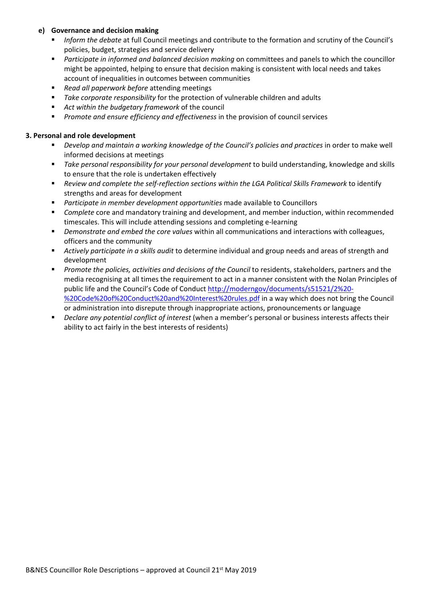#### **e) Governance and decision making**

- *Inform the debate* at full Council meetings and contribute to the formation and scrutiny of the Council's policies, budget, strategies and service delivery
- *Participate in informed and balanced decision making* on committees and panels to which the councillor might be appointed, helping to ensure that decision making is consistent with local needs and takes account of inequalities in outcomes between communities
- *Read all paperwork before* attending meetings
- *Take corporate responsibility* for the protection of vulnerable children and adults
- *Act within the budgetary framework* of the council
- *Promote and ensure efficiency and effectiveness* in the provision of council services

- *Develop and maintain a working knowledge of the Council's policies and practices* in order to make well informed decisions at meetings
- *Take personal responsibility for your personal development* to build understanding, knowledge and skills to ensure that the role is undertaken effectively
- *Review and complete the self-reflection sections within the LGA Political Skills Framework* to identify strengths and areas for development
- *Participate in member development opportunities* made available to Councillors
- *Complete* core and mandatory training and development, and member induction, within recommended timescales. This will include attending sessions and completing e-learning
- *Demonstrate and embed the core values* within all communications and interactions with colleagues, officers and the community
- *Actively participate in a skills audit* to determine individual and group needs and areas of strength and development
- *Promote the policies, activities and decisions of the Council* to residents, stakeholders, partners and the media recognising at all times the requirement to act in a manner consistent with the Nolan Principles of public life and the Council's Code of Conduct [http://moderngov/documents/s51521/2%20-](http://moderngov/documents/s51521/2%20-%20Code%20of%20Conduct%20and%20Interest%20rules.pdf) [%20Code%20of%20Conduct%20and%20Interest%20rules.pdf](http://moderngov/documents/s51521/2%20-%20Code%20of%20Conduct%20and%20Interest%20rules.pdf) in a way which does not bring the Council or administration into disrepute through inappropriate actions, pronouncements or language
- *Declare any potential conflict of interest* (when a member's personal or business interests affects their ability to act fairly in the best interests of residents)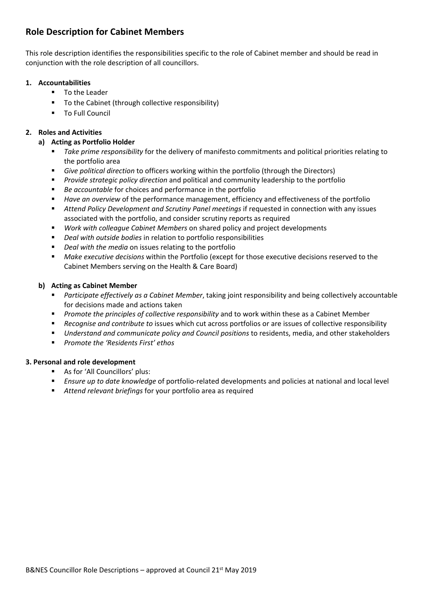## **Role Description for Cabinet Members**

This role description identifies the responsibilities specific to the role of Cabinet member and should be read in conjunction with the role description of all councillors.

#### **1. Accountabilities**

- **To the Leader**
- To the Cabinet (through collective responsibility)
- **To Full Council**

#### **2. Roles and Activities**

#### **a) Acting as Portfolio Holder**

- *Take prime responsibility* for the delivery of manifesto commitments and political priorities relating to the portfolio area
- *Give political direction* to officers working within the portfolio (through the Directors)
- *Provide strategic policy direction* and political and community leadership to the portfolio
- *Be accountable* for choices and performance in the portfolio
- *Have an overview* of the performance management, efficiency and effectiveness of the portfolio
- *Attend Policy Development and Scrutiny Panel meetings* if requested in connection with any issues associated with the portfolio, and consider scrutiny reports as required
- *Work with colleague Cabinet Members* on shared policy and project developments
- *Deal with outside bodies* in relation to portfolio responsibilities
- *Deal with the media* on issues relating to the portfolio
- *Make executive decisions* within the Portfolio (except for those executive decisions reserved to the Cabinet Members serving on the Health & Care Board)

#### **b) Acting as Cabinet Member**

- *Participate effectively as a Cabinet Member*, taking joint responsibility and being collectively accountable for decisions made and actions taken
- *Promote the principles of collective responsibility* and to work within these as a Cabinet Member
- *Recognise and contribute to* issues which cut across portfolios or are issues of collective responsibility
- *Understand and communicate policy and Council positions* to residents, media, and other stakeholders
- *Promote the 'Residents First' ethos*

- **As for 'All Councillors' plus:**
- *Ensure up to date knowledge* of portfolio-related developments and policies at national and local level
- *Attend relevant briefings* for your portfolio area as required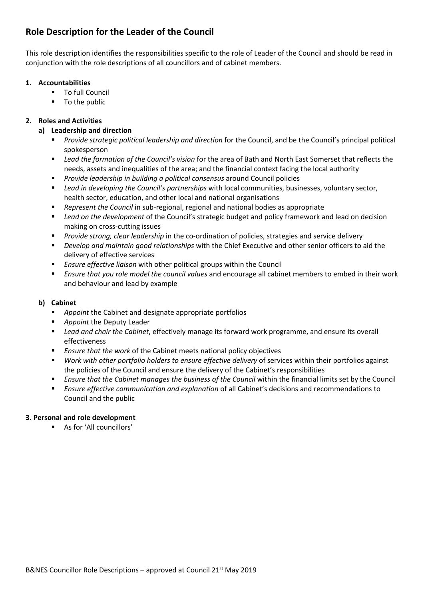## **Role Description for the Leader of the Council**

This role description identifies the responsibilities specific to the role of Leader of the Council and should be read in conjunction with the role descriptions of all councillors and of cabinet members.

#### **1. Accountabilities**

- **To full Council**
- **To the public**

## **2. Roles and Activities**

## **a) Leadership and direction**

- *Provide strategic political leadership and direction* for the Council, and be the Council's principal political spokesperson
- *Lead the formation of the Council's vision* for the area of Bath and North East Somerset that reflects the needs, assets and inequalities of the area; and the financial context facing the local authority
- *Provide leadership in building a political consensus* around Council policies
- *Lead in developing the Council's partnerships* with local communities, businesses, voluntary sector, health sector, education, and other local and national organisations
- *Represent the Council* in sub-regional, regional and national bodies as appropriate
- *Lead on the development* of the Council's strategic budget and policy framework and lead on decision making on cross-cutting issues
- *Provide strong, clear leadership* in the co-ordination of policies, strategies and service delivery
- *Develop and maintain good relationships* with the Chief Executive and other senior officers to aid the delivery of effective services
- *Ensure effective liaison* with other political groups within the Council
- *Ensure that you role model the council values* and encourage all cabinet members to embed in their work and behaviour and lead by example

#### **b) Cabinet**

- *Appoint* the Cabinet and designate appropriate portfolios
- *Appoint* the Deputy Leader
- *Lead and chair the Cabinet*, effectively manage its forward work programme, and ensure its overall effectiveness
- *Ensure that the work* of the Cabinet meets national policy objectives
- *Work with other portfolio holders to ensure effective delivery* of services within their portfolios against the policies of the Council and ensure the delivery of the Cabinet's responsibilities
- *Ensure that the Cabinet manages the business of the Council* within the financial limits set by the Council
- *Ensure effective communication and explanation* of all Cabinet's decisions and recommendations to Council and the public

#### **3. Personal and role development**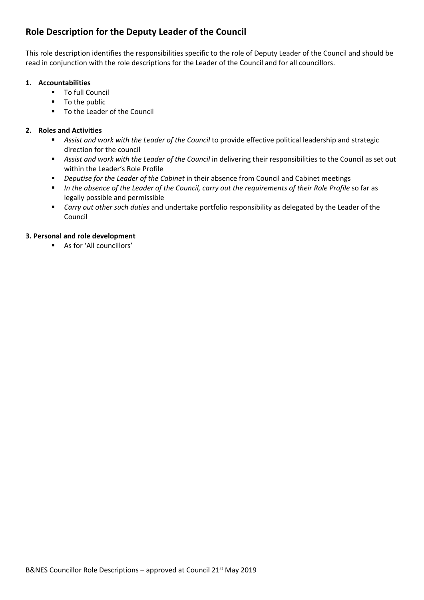## **Role Description for the Deputy Leader of the Council**

This role description identifies the responsibilities specific to the role of Deputy Leader of the Council and should be read in conjunction with the role descriptions for the Leader of the Council and for all councillors.

#### **1. Accountabilities**

- **To full Council**
- **To the public**
- To the Leader of the Council

## **2. Roles and Activities**

- *Assist and work with the Leader of the Council* to provide effective political leadership and strategic direction for the council
- *Assist and work with the Leader of the Council* in delivering their responsibilities to the Council as set out within the Leader's Role Profile
- *Deputise for the Leader of the Cabinet* in their absence from Council and Cabinet meetings
- *In the absence of the Leader of the Council, carry out the requirements of their Role Profile* so far as legally possible and permissible
- *Carry out other such duties* and undertake portfolio responsibility as delegated by the Leader of the Council

### **3. Personal and role development**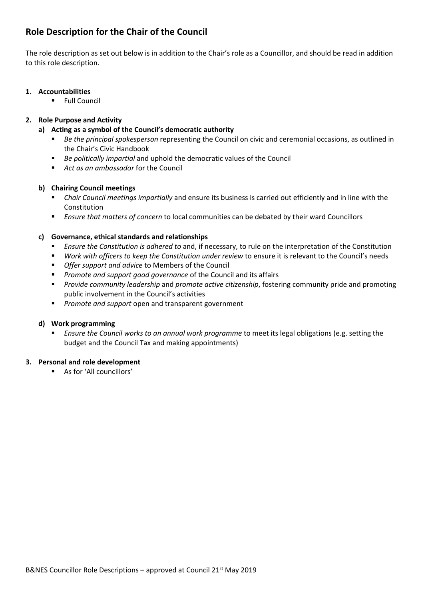## **Role Description for the Chair of the Council**

The role description as set out below is in addition to the Chair's role as a Councillor, and should be read in addition to this role description.

#### **1. Accountabilities**

**Full Council** 

## **2. Role Purpose and Activity**

- **a) Acting as a symbol of the Council's democratic authority**
	- *Be the principal spokesperson* representing the Council on civic and ceremonial occasions, as outlined in the Chair's Civic Handbook
	- *Be politically impartial* and uphold the democratic values of the Council
	- *Act as an ambassador* for the Council

#### **b) Chairing Council meetings**

- *Chair Council meetings impartially* and ensure its business is carried out efficiently and in line with the Constitution
- *Ensure that matters of concern* to local communities can be debated by their ward Councillors

### **c) Governance, ethical standards and relationships**

- *Ensure the Constitution is adhered to* and, if necessary, to rule on the interpretation of the Constitution
- *Work with officers to keep the Constitution under review* to ensure it is relevant to the Council's needs
- *Offer support and advice* to Members of the Council
- *Promote and support good governance* of the Council and its affairs
- *Provide community leadership* and *promote active citizenship*, fostering community pride and promoting public involvement in the Council's activities
- *Promote and support* open and transparent government

#### **d) Work programming**

 *Ensure the Council works to an annual work programme* to meet its legal obligations (e.g. setting the budget and the Council Tax and making appointments)

## **3. Personal and role development**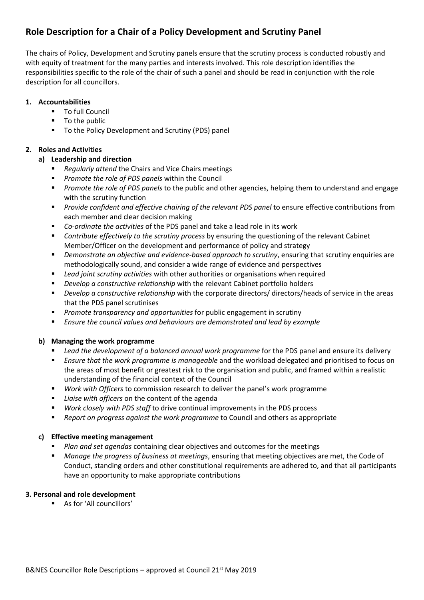## **Role Description for a Chair of a Policy Development and Scrutiny Panel**

The chairs of Policy, Development and Scrutiny panels ensure that the scrutiny process is conducted robustly and with equity of treatment for the many parties and interests involved. This role description identifies the responsibilities specific to the role of the chair of such a panel and should be read in conjunction with the role description for all councillors.

### **1. Accountabilities**

- **To full Council**
- **To the public**
- To the Policy Development and Scrutiny (PDS) panel

## **2. Roles and Activities**

## **a) Leadership and direction**

- *Regularly attend* the Chairs and Vice Chairs meetings
- *Promote the role of PDS panels* within the Council
- *Promote the role of PDS panels* to the public and other agencies, helping them to understand and engage with the scrutiny function
- *Provide confident and effective chairing of the relevant PDS panel* to ensure effective contributions from each member and clear decision making
- *Co-ordinate the activities* of the PDS panel and take a lead role in its work
- *Contribute effectively to the scrutiny process* by ensuring the questioning of the relevant Cabinet Member/Officer on the development and performance of policy and strategy
- *Demonstrate an objective and evidence-based approach to scrutiny*, ensuring that scrutiny enquiries are methodologically sound, and consider a wide range of evidence and perspectives
- *Lead joint scrutiny activities* with other authorities or organisations when required
- *Develop a constructive relationship* with the relevant Cabinet portfolio holders
- *Develop a constructive relationship* with the corporate directors/ directors/heads of service in the areas that the PDS panel scrutinises
- *Promote transparency and opportunities* for public engagement in scrutiny
- *Ensure the council values and behaviours are demonstrated and lead by example*

#### **b) Managing the work programme**

- *Lead the development of a balanced annual work programme* for the PDS panel and ensure its delivery
- *Ensure that the work programme is manageable* and the workload delegated and prioritised to focus on the areas of most benefit or greatest risk to the organisation and public, and framed within a realistic understanding of the financial context of the Council
- *Work with Officers* to commission research to deliver the panel's work programme
- *Liaise with officers* on the content of the agenda
- *Work closely with PDS staff* to drive continual improvements in the PDS process
- *Report on progress against the work programme* to Council and others as appropriate

#### **c) Effective meeting management**

- *Plan and set agendas* containing clear objectives and outcomes for the meetings
- *Manage the progress of business at meetings*, ensuring that meeting objectives are met, the Code of Conduct, standing orders and other constitutional requirements are adhered to, and that all participants have an opportunity to make appropriate contributions

#### **3. Personal and role development**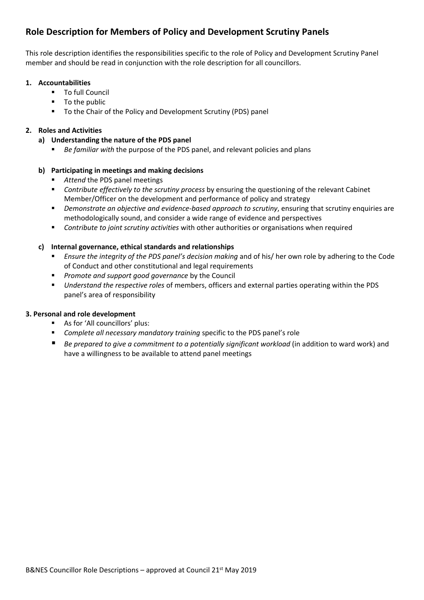## **Role Description for Members of Policy and Development Scrutiny Panels**

This role description identifies the responsibilities specific to the role of Policy and Development Scrutiny Panel member and should be read in conjunction with the role description for all councillors.

#### **1. Accountabilities**

- **To full Council**
- **To the public**
- To the Chair of the Policy and Development Scrutiny (PDS) panel

#### **2. Roles and Activities**

- **a) Understanding the nature of the PDS panel**
	- *Be familiar with* the purpose of the PDS panel, and relevant policies and plans

#### **b) Participating in meetings and making decisions**

- Attend the PDS panel meetings
- *Contribute effectively to the scrutiny process* by ensuring the questioning of the relevant Cabinet Member/Officer on the development and performance of policy and strategy
- *Demonstrate an objective and evidence-based approach to scrutiny*, ensuring that scrutiny enquiries are methodologically sound, and consider a wide range of evidence and perspectives
- *Contribute to joint scrutiny activities* with other authorities or organisations when required

#### **c) Internal governance, ethical standards and relationships**

- *Ensure the integrity of the PDS panel's decision making* and of his/ her own role by adhering to the Code of Conduct and other constitutional and legal requirements
- *Promote and support good governance* by the Council
- *Understand the respective roles* of members, officers and external parties operating within the PDS panel's area of responsibility

- As for 'All councillors' plus:
- *Complete all necessary mandatory training* specific to the PDS panel's role
- *Be prepared to give a commitment to a potentially significant workload* (in addition to ward work) and have a willingness to be available to attend panel meetings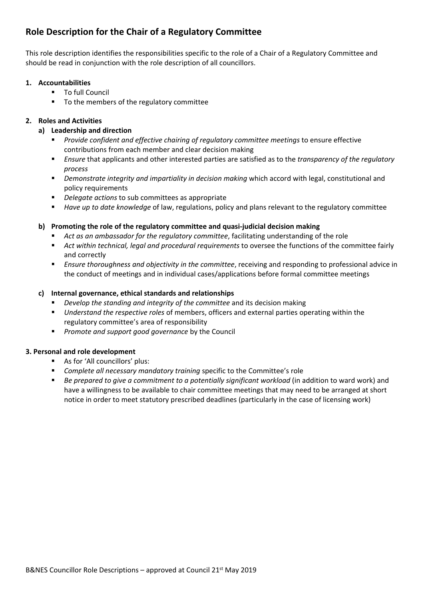## **Role Description for the Chair of a Regulatory Committee**

This role description identifies the responsibilities specific to the role of a Chair of a Regulatory Committee and should be read in conjunction with the role description of all councillors.

#### **1. Accountabilities**

- **To full Council**
- To the members of the regulatory committee

#### **2. Roles and Activities**

#### **a) Leadership and direction**

- *Provide confident and effective chairing of regulatory committee meetings* to ensure effective contributions from each member and clear decision making
- *Ensure* that applicants and other interested parties are satisfied as to the *transparency of the regulatory process*
- *Demonstrate integrity and impartiality in decision making* which accord with legal, constitutional and policy requirements
- *Delegate actions* to sub committees as appropriate
- *Have up to date knowledge* of law, regulations, policy and plans relevant to the regulatory committee

### **b) Promoting the role of the regulatory committee and quasi-judicial decision making**

- *Act as an ambassador for the regulatory committee*, facilitating understanding of the role
- *Act within technical, legal and procedural requirements* to oversee the functions of the committee fairly and correctly
- *Ensure thoroughness and objectivity in the committee*, receiving and responding to professional advice in the conduct of meetings and in individual cases/applications before formal committee meetings

#### **c) Internal governance, ethical standards and relationships**

- *Develop the standing and integrity of the committee* and its decision making
- *Understand the respective roles* of members, officers and external parties operating within the regulatory committee's area of responsibility
- *Promote and support good governance* by the Council

- As for 'All councillors' plus:
- *Complete all necessary mandatory training* specific to the Committee's role
- *Be prepared to give a commitment to a potentially significant workload* (in addition to ward work) and have a willingness to be available to chair committee meetings that may need to be arranged at short notice in order to meet statutory prescribed deadlines (particularly in the case of licensing work)